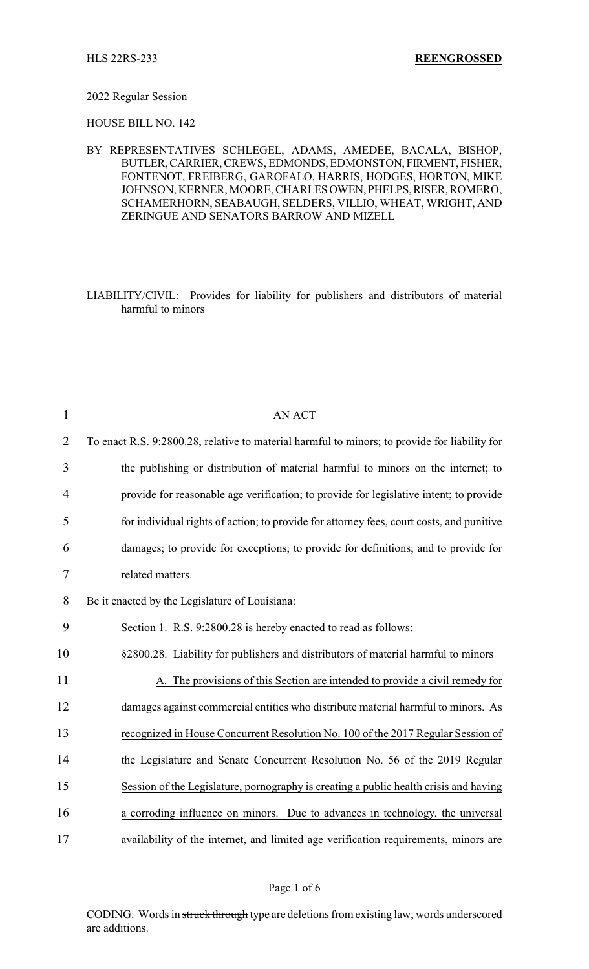### 2022 Regular Session

HOUSE BILL NO. 142

BY REPRESENTATIVES SCHLEGEL, ADAMS, AMEDEE, BACALA, BISHOP, BUTLER,CARRIER, CREWS, EDMONDS, EDMONSTON, FIRMENT, FISHER, FONTENOT, FREIBERG, GAROFALO, HARRIS, HODGES, HORTON, MIKE JOHNSON, KERNER, MOORE, CHARLESOWEN, PHELPS,RISER,ROMERO, SCHAMERHORN, SEABAUGH, SELDERS, VILLIO, WHEAT, WRIGHT, AND ZERINGUE AND SENATORS BARROW AND MIZELL

LIABILITY/CIVIL: Provides for liability for publishers and distributors of material harmful to minors

| $\mathbf{1}$   | <b>AN ACT</b>                                                                                 |
|----------------|-----------------------------------------------------------------------------------------------|
| $\overline{2}$ | To enact R.S. 9:2800.28, relative to material harmful to minors; to provide for liability for |
| 3              | the publishing or distribution of material harmful to minors on the internet; to              |
| 4              | provide for reasonable age verification; to provide for legislative intent; to provide        |
| 5              | for individual rights of action; to provide for attorney fees, court costs, and punitive      |
| 6              | damages; to provide for exceptions; to provide for definitions; and to provide for            |
| 7              | related matters.                                                                              |
| 8              | Be it enacted by the Legislature of Louisiana:                                                |
| 9              | Section 1. R.S. 9:2800.28 is hereby enacted to read as follows:                               |
| 10             | §2800.28. Liability for publishers and distributors of material harmful to minors             |
| 11             | A. The provisions of this Section are intended to provide a civil remedy for                  |
| 12             | damages against commercial entities who distribute material harmful to minors. As             |
| 13             | recognized in House Concurrent Resolution No. 100 of the 2017 Regular Session of              |
| 14             | the Legislature and Senate Concurrent Resolution No. 56 of the 2019 Regular                   |
| 15             | Session of the Legislature, pornography is creating a public health crisis and having         |
| 16             | a corroding influence on minors. Due to advances in technology, the universal                 |
| 17             | availability of the internet, and limited age verification requirements, minors are           |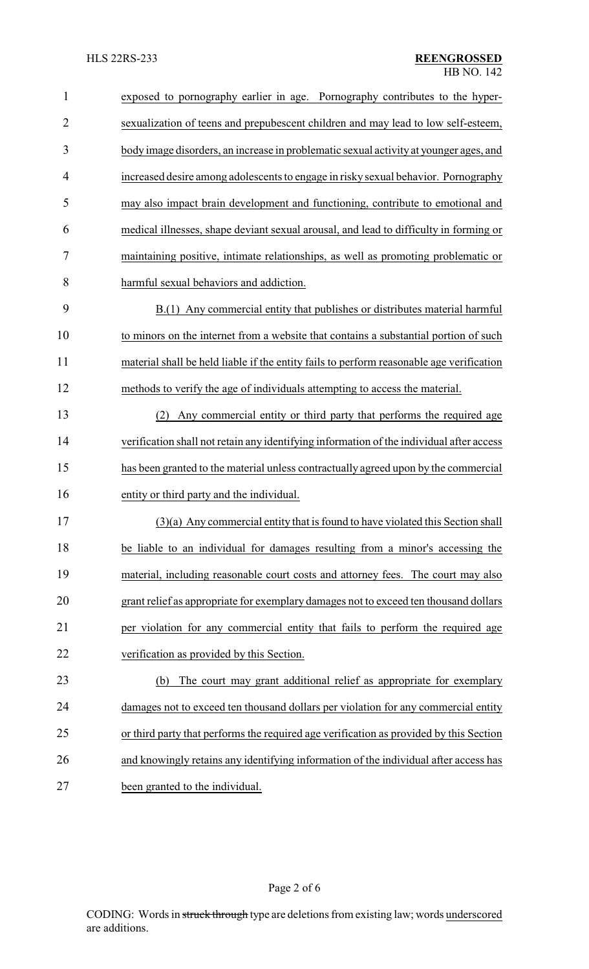| $\mathbf{1}$   | exposed to pornography earlier in age. Pornography contributes to the hyper-             |
|----------------|------------------------------------------------------------------------------------------|
| $\overline{2}$ | sexualization of teens and prepubescent children and may lead to low self-esteem,        |
| 3              | body image disorders, an increase in problematic sexual activity at younger ages, and    |
| 4              | increased desire among adolescents to engage in risky sexual behavior. Pornography       |
| 5              | may also impact brain development and functioning, contribute to emotional and           |
| 6              | medical illnesses, shape deviant sexual arousal, and lead to difficulty in forming or    |
| 7              | maintaining positive, intimate relationships, as well as promoting problematic or        |
| 8              | harmful sexual behaviors and addiction.                                                  |
| 9              | B.(1) Any commercial entity that publishes or distributes material harmful               |
| 10             | to minors on the internet from a website that contains a substantial portion of such     |
| 11             | material shall be held liable if the entity fails to perform reasonable age verification |
| 12             | methods to verify the age of individuals attempting to access the material.              |
| 13             | Any commercial entity or third party that performs the required age<br>(2)               |
| 14             | verification shall not retain any identifying information of the individual after access |
| 15             | has been granted to the material unless contractually agreed upon by the commercial      |
| 16             | entity or third party and the individual.                                                |
| 17             | (3)(a) Any commercial entity that is found to have violated this Section shall           |
| 18             | be liable to an individual for damages resulting from a minor's accessing the            |
| 19             | material, including reasonable court costs and attorney fees. The court may also         |
| 20             | grant relief as appropriate for exemplary damages not to exceed ten thousand dollars     |
| 21             | per violation for any commercial entity that fails to perform the required age           |
| 22             | verification as provided by this Section.                                                |
| 23             | The court may grant additional relief as appropriate for exemplary<br>(b)                |
| 24             | damages not to exceed ten thousand dollars per violation for any commercial entity       |
| 25             | or third party that performs the required age verification as provided by this Section   |
| 26             | and knowingly retains any identifying information of the individual after access has     |
| 27             | been granted to the individual.                                                          |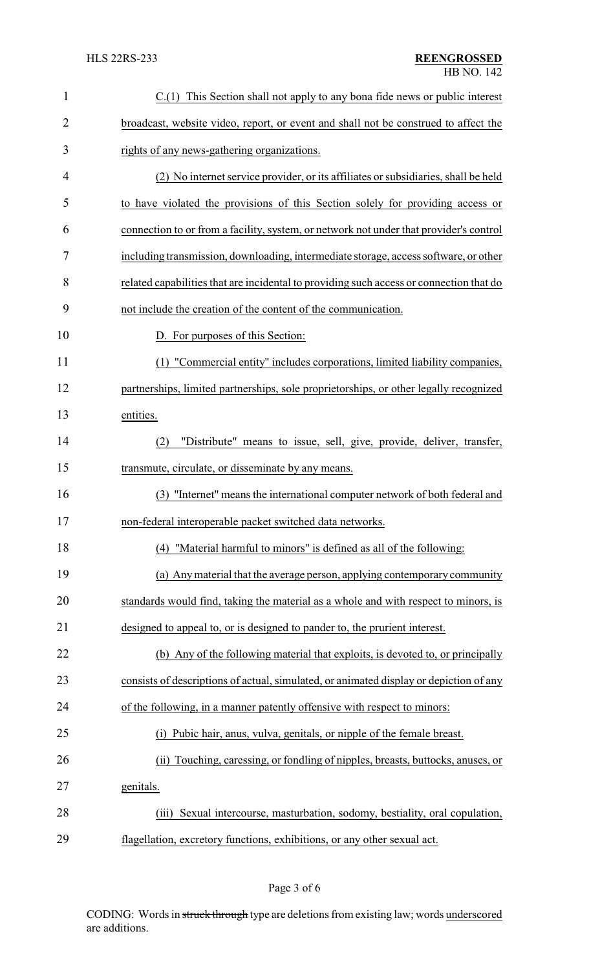| $\mathbf{1}$   | $C(1)$ This Section shall not apply to any bona fide news or public interest            |
|----------------|-----------------------------------------------------------------------------------------|
| $\overline{2}$ | broadcast, website video, report, or event and shall not be construed to affect the     |
| 3              | rights of any news-gathering organizations.                                             |
| 4              | (2) No internet service provider, or its affiliates or subsidiaries, shall be held      |
| 5              | to have violated the provisions of this Section solely for providing access or          |
| 6              | connection to or from a facility, system, or network not under that provider's control  |
| 7              | including transmission, downloading, intermediate storage, access software, or other    |
| 8              | related capabilities that are incidental to providing such access or connection that do |
| 9              | not include the creation of the content of the communication.                           |
| 10             | D. For purposes of this Section:                                                        |
| 11             | (1) "Commercial entity" includes corporations, limited liability companies,             |
| 12             | partnerships, limited partnerships, sole proprietorships, or other legally recognized   |
| 13             | entities.                                                                               |
| 14             | "Distribute" means to issue, sell, give, provide, deliver, transfer,<br>(2)             |
| 15             | transmute, circulate, or disseminate by any means.                                      |
| 16             | "Internet" means the international computer network of both federal and<br>(3)          |
| 17             | non-federal interoperable packet switched data networks.                                |
| 18             | (4) "Material harmful to minors" is defined as all of the following:                    |
| 19             | (a) Any material that the average person, applying contemporary community               |
| 20             | standards would find, taking the material as a whole and with respect to minors, is     |
| 21             | designed to appeal to, or is designed to pander to, the prurient interest.              |
| 22             | (b) Any of the following material that exploits, is devoted to, or principally          |
| 23             | consists of descriptions of actual, simulated, or animated display or depiction of any  |
| 24             | of the following, in a manner patently offensive with respect to minors:                |
| 25             | Pubic hair, anus, vulva, genitals, or nipple of the female breast.<br>(i)               |
| 26             | Touching, caressing, or fondling of nipples, breasts, buttocks, anuses, or<br>(i)       |
| 27             | genitals.                                                                               |
| 28             | Sexual intercourse, masturbation, sodomy, bestiality, oral copulation,<br>(iii)         |
| 29             | flagellation, excretory functions, exhibitions, or any other sexual act.                |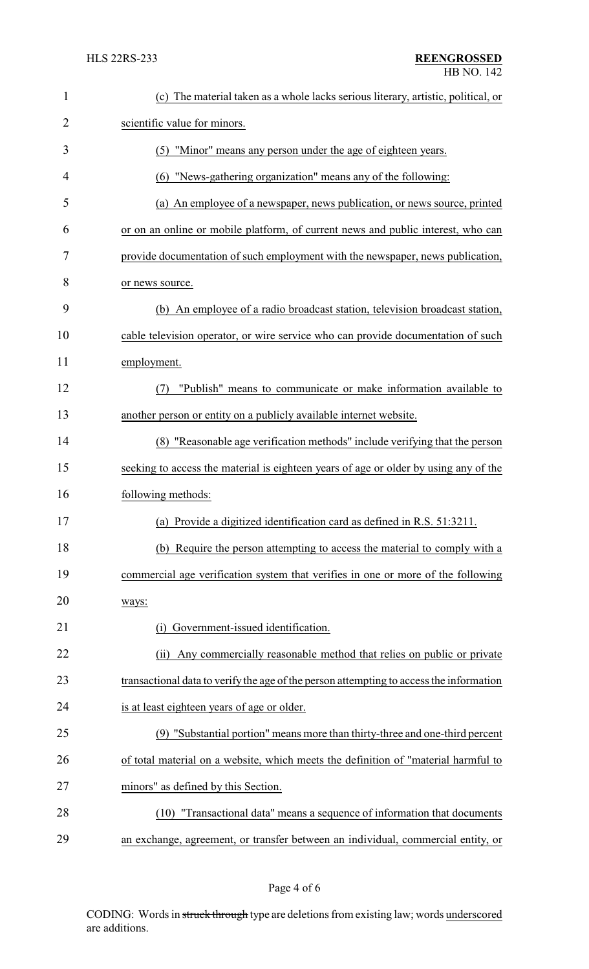| $\mathbf{1}$   | (c) The material taken as a whole lacks serious literary, artistic, political, or       |
|----------------|-----------------------------------------------------------------------------------------|
| $\overline{2}$ | scientific value for minors.                                                            |
| 3              | (5) "Minor" means any person under the age of eighteen years.                           |
| 4              | (6) "News-gathering organization" means any of the following:                           |
| 5              | (a) An employee of a newspaper, news publication, or news source, printed               |
| 6              | or on an online or mobile platform, of current news and public interest, who can        |
| 7              | provide documentation of such employment with the newspaper, news publication,          |
| 8              | or news source.                                                                         |
| 9              | (b) An employee of a radio broadcast station, television broadcast station,             |
| 10             | cable television operator, or wire service who can provide documentation of such        |
| 11             | employment.                                                                             |
| 12             | "Publish" means to communicate or make information available to<br>(7)                  |
| 13             | another person or entity on a publicly available internet website.                      |
| 14             | (8) "Reasonable age verification methods" include verifying that the person             |
| 15             | seeking to access the material is eighteen years of age or older by using any of the    |
| 16             | following methods:                                                                      |
| 17             | (a) Provide a digitized identification card as defined in R.S. 51:3211.                 |
| 18             | (b) Require the person attempting to access the material to comply with a               |
| 19             | commercial age verification system that verifies in one or more of the following        |
| 20             | ways:                                                                                   |
| 21             | Government-issued identification.<br>(1)                                                |
| 22             | Any commercially reasonable method that relies on public or private<br>(ii)             |
| 23             | transactional data to verify the age of the person attempting to access the information |
| 24             | is at least eighteen years of age or older.                                             |
| 25             | (9) "Substantial portion" means more than thirty-three and one-third percent            |
| 26             | of total material on a website, which meets the definition of "material harmful to      |
| 27             | minors" as defined by this Section.                                                     |
| 28             | "Transactional data" means a sequence of information that documents<br>(10)             |
| 29             | an exchange, agreement, or transfer between an individual, commercial entity, or        |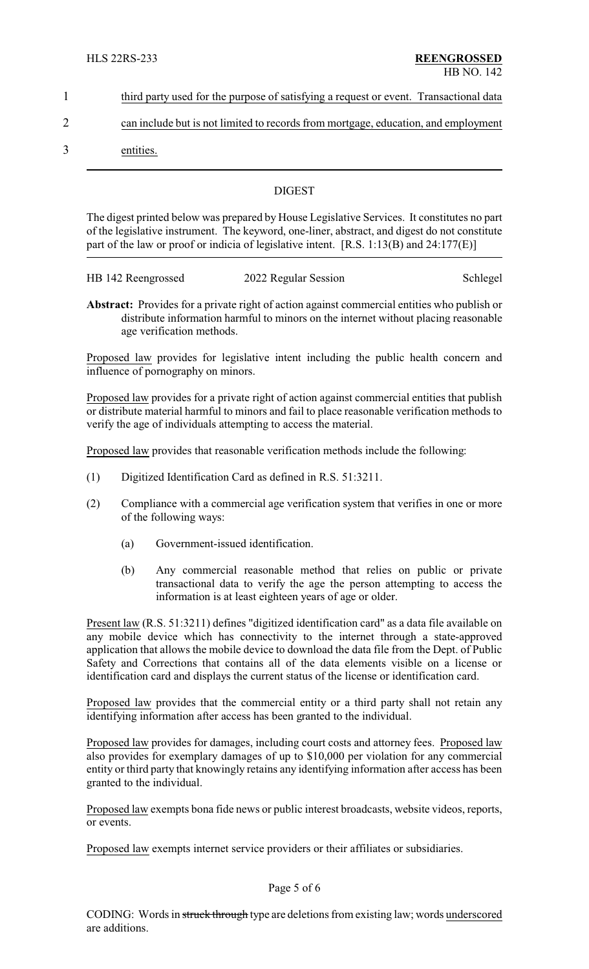- 1 third party used for the purpose of satisfying a request or event. Transactional data
- 2 can include but is not limited to records from mortgage, education, and employment
- 3 entities.

# **DIGEST**

The digest printed below was prepared by House Legislative Services. It constitutes no part of the legislative instrument. The keyword, one-liner, abstract, and digest do not constitute part of the law or proof or indicia of legislative intent. [R.S. 1:13(B) and 24:177(E)]

| HB 142 Reengrossed | 2022 Regular Session | Schlegel |
|--------------------|----------------------|----------|
|                    |                      |          |

**Abstract:** Provides for a private right of action against commercial entities who publish or distribute information harmful to minors on the internet without placing reasonable age verification methods.

Proposed law provides for legislative intent including the public health concern and influence of pornography on minors.

Proposed law provides for a private right of action against commercial entities that publish or distribute material harmful to minors and fail to place reasonable verification methods to verify the age of individuals attempting to access the material.

Proposed law provides that reasonable verification methods include the following:

- (1) Digitized Identification Card as defined in R.S. 51:3211.
- (2) Compliance with a commercial age verification system that verifies in one or more of the following ways:
	- (a) Government-issued identification.
	- (b) Any commercial reasonable method that relies on public or private transactional data to verify the age the person attempting to access the information is at least eighteen years of age or older.

Present law (R.S. 51:3211) defines "digitized identification card" as a data file available on any mobile device which has connectivity to the internet through a state-approved application that allows the mobile device to download the data file from the Dept. of Public Safety and Corrections that contains all of the data elements visible on a license or identification card and displays the current status of the license or identification card.

Proposed law provides that the commercial entity or a third party shall not retain any identifying information after access has been granted to the individual.

Proposed law provides for damages, including court costs and attorney fees. Proposed law also provides for exemplary damages of up to \$10,000 per violation for any commercial entity or third party that knowingly retains any identifying information after access has been granted to the individual.

Proposed law exempts bona fide news or public interest broadcasts, website videos, reports, or events.

Proposed law exempts internet service providers or their affiliates or subsidiaries.

## Page 5 of 6

CODING: Words in struck through type are deletions from existing law; words underscored are additions.